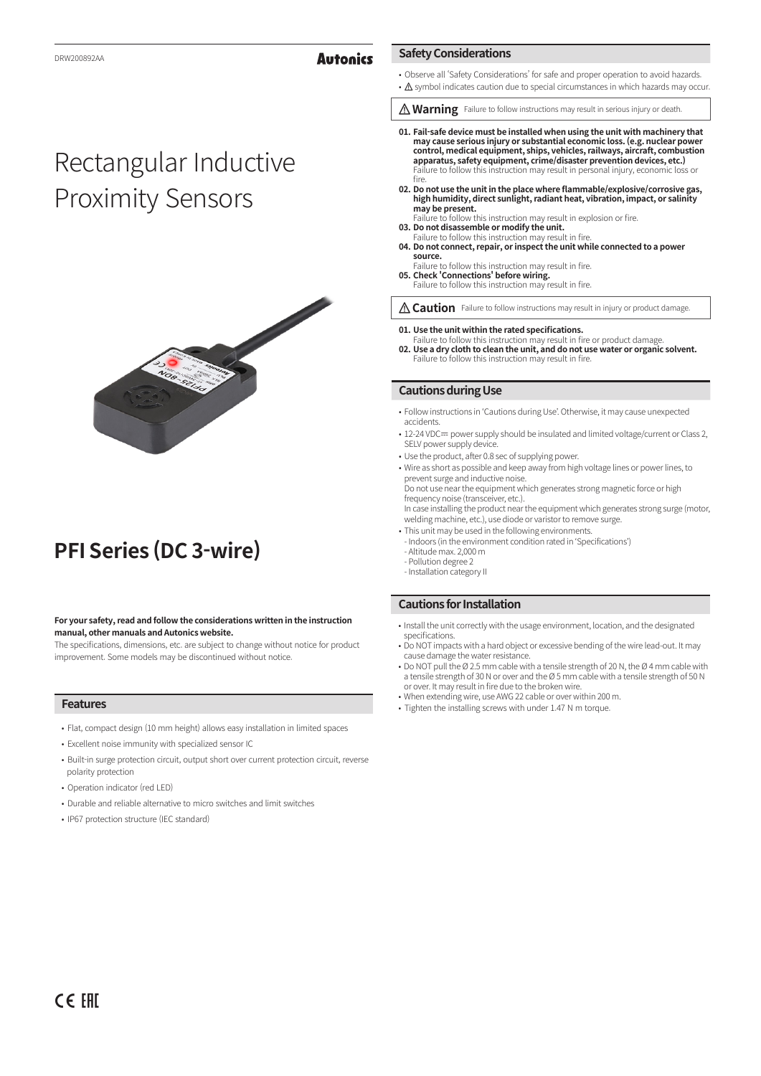## **Autonics**

# Rectangular Inductive Proximity Sensors



## **PFI Series (DC 3-wire)**

#### **For your safety, read and follow the considerations written in the instruction manual, other manuals and Autonics website.**

The specifications, dimensions, etc. are subject to change without notice for product improvement. Some models may be discontinued without notice.

## **Features**

- Flat, compact design (10 mm height) allows easy installation in limited spaces
- Excellent noise immunity with specialized sensor IC
- Built-in surge protection circuit, output short over current protection circuit, reverse polarity protection
- Operation indicator (red LED)
- Durable and reliable alternative to micro switches and limit switches
- IP67 protection structure (IEC standard)

## **Safety Considerations**

- Observe all 'Safety Considerations' for safe and proper operation to avoid hazards.
- A symbol indicates caution due to special circumstances in which hazards may occur.
- *Marning* Failure to follow instructions may result in serious injury or death.
- **01. Fail-safe device must be installed when using the unit with machinery that may cause serious injury or substantial economic loss. (e.g. nuclear power control, medical equipment, ships, vehicles, railways, aircraft, combustion apparatus, safety equipment, crime/disaster prevention devices, etc.)** Failure to follow this instruction may result in personal injury, economic loss or fire.
- **02. Do not use the unit in the place where flammable/explosive/corrosive gas, high humidity, direct sunlight, radiant heat, vibration, impact, or salinity may be present.**
- Failure to follow this instruction may result in explosion or fire.
- **03. Do not disassemble or modify the unit.** Failure to follow this instruction may result in fire. **04. Do not connect, repair, or inspect the unit while connected to a power source.**
- Failure to follow this instruction may result in fire. **05. Check 'Connections' before wiring.** Failure to follow this instruction may result in fire.

*A* Caution Failure to follow instructions may result in injury or product damage.

#### **01. Use the unit within the rated specifications.**

Failure to follow this instruction may result in fire or product damage. **02. Use a dry cloth to clean the unit, and do not use water or organic solvent.** Failure to follow this instruction may result in fire.

#### **Cautions during Use**

- Follow instructions in 'Cautions during Use'. Otherwise, it may cause unexpected accidents.
- 12-24 VDC= power supply should be insulated and limited voltage/current or Class 2, SELV power supply device
- Use the product, after 0.8 sec of supplying power.
- Wire as short as possible and keep away from high voltage lines or power lines, to prevent surge and inductive noise. Do not use near the equipment which generates strong magnetic force or high frequency noise (transceiver, etc.). In case installing the product near the equipment which generates strong surge (motor,
- welding machine, etc.), use diode or varistor to remove surge. • This unit may be used in the following environments.
- Indoors (in the environment condition rated in 'Specifications') - Altitude max. 2,000 m
- Pollution degree 2
- Installation category II

### **Cautions for Installation**

- Install the unit correctly with the usage environment, location, and the designated specifications.
- Do NOT impacts with a hard object or excessive bending of the wire lead-out. It may cause damage the water resistance.
- Do NOT pull the Ø 2.5 mm cable with a tensile strength of 20 N, the Ø 4 mm cable with a tensile strength of 30 N or over and the Ø 5 mm cable with a tensile strength of 50 N or over. It may result in fire due to the broken wire.
- When extending wire, use AWG 22 cable or over within 200 m.
- Tighten the installing screws with under 1.47 N m torque.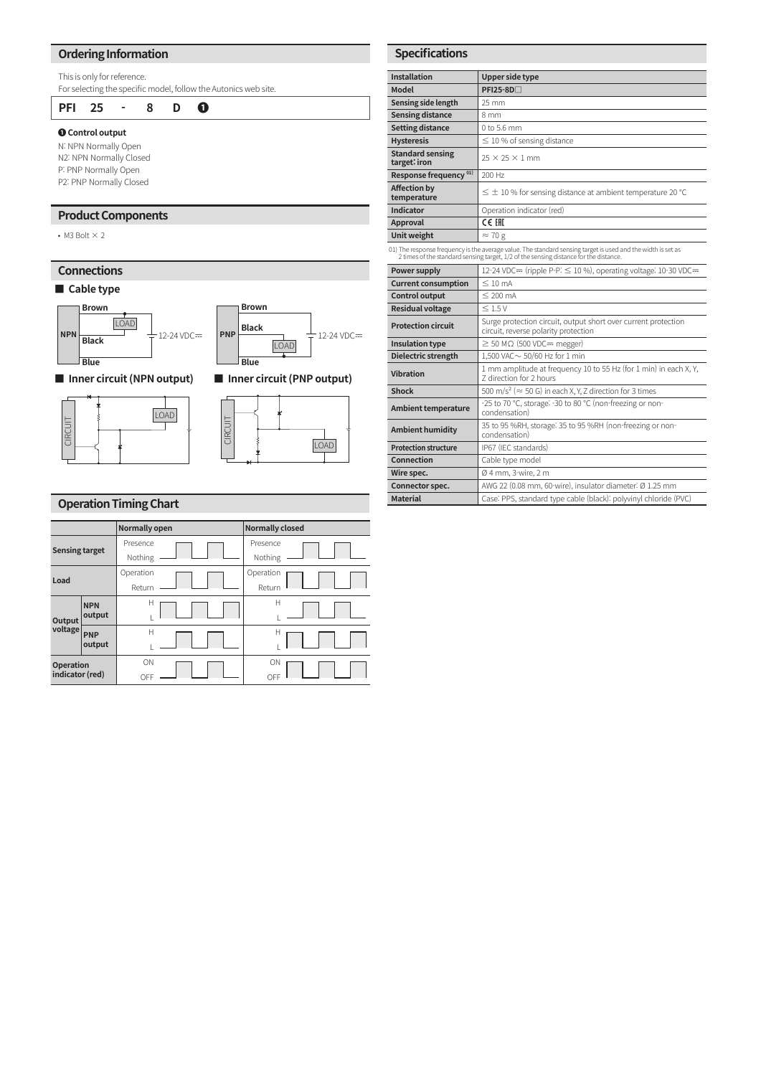## **Ordering Information**

This is only for reference.

For selecting the specific model, follow the Autonics web site.

**PFI 25 - 8 D ❶**

## **❶ Control output**

N: NPN Normally Open N2: NPN Normally Closed P: PNP Normally Open P2: PNP Normally Closed

## **Product Components**

• M3 Bolt  $\times$  2

## **Connections**

## **■ Cable type**



**■ Inner circuit (NPN output) ■ Inner circuit (PNP output)**





## **Operation Timing Chart**

|                                     |            | <b>Normally open</b> |  |  | <b>Normally closed</b> |  |  |  |
|-------------------------------------|------------|----------------------|--|--|------------------------|--|--|--|
| <b>Sensing target</b>               |            | Presence             |  |  | Presence               |  |  |  |
|                                     |            | Nothing              |  |  | Nothing                |  |  |  |
| Load                                |            | Operation            |  |  | Operation              |  |  |  |
|                                     |            | Return               |  |  | Return                 |  |  |  |
| Output<br>voltage                   | <b>NPN</b> | Н                    |  |  | Н                      |  |  |  |
|                                     | output     |                      |  |  |                        |  |  |  |
|                                     | <b>PNP</b> | H                    |  |  | Н                      |  |  |  |
|                                     | output     |                      |  |  |                        |  |  |  |
| <b>Operation</b><br>indicator (red) |            | ON                   |  |  | ON                     |  |  |  |
|                                     |            | OFF                  |  |  | OFF                    |  |  |  |

| <b>Specifications</b>                   |                                                                                                                                                                                                       |  |  |  |  |  |
|-----------------------------------------|-------------------------------------------------------------------------------------------------------------------------------------------------------------------------------------------------------|--|--|--|--|--|
| <b>Installation</b>                     | Upper side type                                                                                                                                                                                       |  |  |  |  |  |
| Model                                   | $PFI25-8D$                                                                                                                                                                                            |  |  |  |  |  |
| Sensing side length                     | 25 mm                                                                                                                                                                                                 |  |  |  |  |  |
| <b>Sensing distance</b>                 | 8 mm                                                                                                                                                                                                  |  |  |  |  |  |
| <b>Setting distance</b>                 | $0$ to 5.6 mm                                                                                                                                                                                         |  |  |  |  |  |
| <b>Hysteresis</b>                       | $\leq$ 10 % of sensing distance                                                                                                                                                                       |  |  |  |  |  |
| <b>Standard sensing</b><br>target: iron | $25 \times 25 \times 1$ mm                                                                                                                                                                            |  |  |  |  |  |
| Response frequency <sup>01)</sup>       | 200 Hz                                                                                                                                                                                                |  |  |  |  |  |
| <b>Affection by</b><br>temperature      | $\leq \pm 10$ % for sensing distance at ambient temperature 20 °C                                                                                                                                     |  |  |  |  |  |
| Indicator                               | Operation indicator (red)                                                                                                                                                                             |  |  |  |  |  |
| Approval                                | CE EHI                                                                                                                                                                                                |  |  |  |  |  |
| Unit weight                             | $\approx$ 70 g                                                                                                                                                                                        |  |  |  |  |  |
|                                         | 01) The response frequency is the average value. The standard sensing target is used and the width is set as<br>2 times of the standard sensing target, 1/2 of the sensing distance for the distance. |  |  |  |  |  |
| Power supply                            | 12-24 VDC= (ripple P-P: $\leq$ 10 %), operating voltage: 10-30 VDC=                                                                                                                                   |  |  |  |  |  |
| <b>Current consumption</b>              | $\leq 10$ mA                                                                                                                                                                                          |  |  |  |  |  |
| <b>Control output</b>                   | $\leq$ 200 mA                                                                                                                                                                                         |  |  |  |  |  |
| <b>Residual voltage</b>                 | $\leq 1.5V$                                                                                                                                                                                           |  |  |  |  |  |
| <b>Protection circuit</b>               | Surge protection circuit, output short over current protection<br>circuit, reverse polarity protection                                                                                                |  |  |  |  |  |
| <b>Insulation type</b>                  | $\geq$ 50 M $\Omega$ (500 VDC= megger)                                                                                                                                                                |  |  |  |  |  |
| Dielectric strength                     | 1,500 VAC ~ 50/60 Hz for 1 min                                                                                                                                                                        |  |  |  |  |  |
| <b>Vibration</b>                        | 1 mm amplitude at frequency 10 to 55 Hz (for 1 min) in each X, Y,<br>Z direction for 2 hours                                                                                                          |  |  |  |  |  |
| <b>Shock</b>                            | 500 m/s <sup>2</sup> ( $\approx$ 50 G) in each X, Y, Z direction for 3 times                                                                                                                          |  |  |  |  |  |
| Ambient temperature                     | -25 to 70 °C, storage: -30 to 80 °C (non-freezing or non-<br>condensation)                                                                                                                            |  |  |  |  |  |
| Ambient humidity                        | 35 to 95 %RH, storage: 35 to 95 %RH (non-freezing or non-<br>condensation)                                                                                                                            |  |  |  |  |  |
| <b>Protection structure</b>             | IP67 (IEC standards)                                                                                                                                                                                  |  |  |  |  |  |
| Connection                              | Cable type model                                                                                                                                                                                      |  |  |  |  |  |
| Wire spec.                              | Ø 4 mm, 3-wire, 2 m                                                                                                                                                                                   |  |  |  |  |  |
| Connector spec.                         | AWG 22 (0.08 mm, 60-wire), insulator diameter: Ø 1.25 mm                                                                                                                                              |  |  |  |  |  |
| <b>Material</b>                         | Case: PPS, standard type cable (black): polyvinyl chloride (PVC)                                                                                                                                      |  |  |  |  |  |